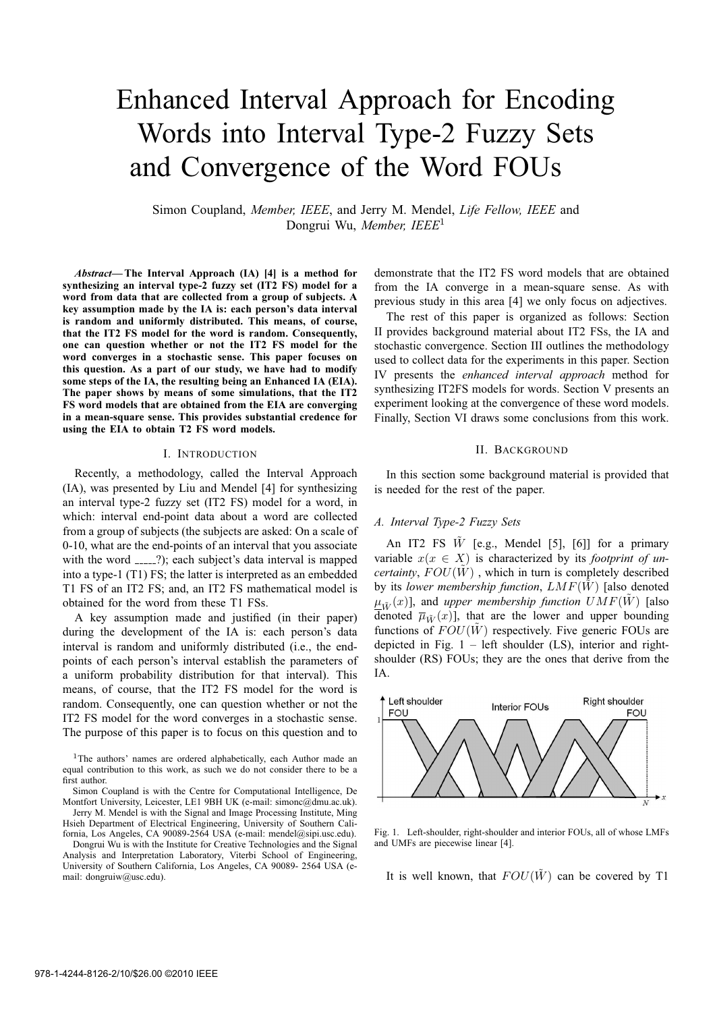# Enhanced Interval Approach for Encoding Words into Interval Type-2 Fuzzy Sets and Convergence of the Word FOUs

Simon Coupland, *Member, IEEE*, and Jerry M. Mendel, *Life Fellow, IEEE* and Dongrui Wu, *Member, IEEE*<sup>1</sup>

*Abstract***— The Interval Approach (IA) [4] is a method for synthesizing an interval type-2 fuzzy set (IT2 FS) model for a word from data that are collected from a group of subjects. A key assumption made by the IA is: each person's data interval is random and uniformly distributed. This means, of course, that the IT2 FS model for the word is random. Consequently, one can question whether or not the IT2 FS model for the word converges in a stochastic sense. This paper focuses on this question. As a part of our study, we have had to modify some steps of the IA, the resulting being an Enhanced IA (EIA). The paper shows by means of some simulations, that the IT2 FS word models that are obtained from the EIA are converging in a mean-square sense. This provides substantial credence for using the EIA to obtain T2 FS word models.**

## I. INTRODUCTION

Recently, a methodology, called the Interval Approach (IA), was presented by Liu and Mendel [4] for synthesizing an interval type-2 fuzzy set (IT2 FS) model for a word, in which: interval end-point data about a word are collected from a group of subjects (the subjects are asked: On a scale of 0-10, what are the end-points of an interval that you associate with the word \_\_\_\_\_?); each subject's data interval is mapped into a type-1 (T1) FS; the latter is interpreted as an embedded T1 FS of an IT2 FS; and, an IT2 FS mathematical model is obtained for the word from these T1 FSs.

A key assumption made and justified (in their paper) during the development of the IA is: each person's data interval is random and uniformly distributed (i.e., the endpoints of each person's interval establish the parameters of a uniform probability distribution for that interval). This means, of course, that the IT2 FS model for the word is random. Consequently, one can question whether or not the IT2 FS model for the word converges in a stochastic sense. The purpose of this paper is to focus on this question and to

<sup>1</sup>The authors' names are ordered alphabetically, each Author made an equal contribution to this work, as such we do not consider there to be a first author.

Simon Coupland is with the Centre for Computational Intelligence, De Montfort University, Leicester, LE1 9BH UK (e-mail: simonc@dmu.ac.uk). Jerry M. Mendel is with the Signal and Image Processing Institute, Ming

Hsieh Department of Electrical Engineering, University of Southern California, Los Angeles, CA 90089-2564 USA (e-mail: mendel@sipi.usc.edu).

Dongrui Wu is with the Institute for Creative Technologies and the Signal Analysis and Interpretation Laboratory, Viterbi School of Engineering, University of Southern California, Los Angeles, CA 90089- 2564 USA (email: dongruiw@usc.edu).

demonstrate that the IT2 FS word models that are obtained from the IA converge in a mean-square sense. As with previous study in this area [4] we only focus on adjectives.

The rest of this paper is organized as follows: Section II provides background material about IT2 FSs, the IA and stochastic convergence. Section III outlines the methodology used to collect data for the experiments in this paper. Section IV presents the *enhanced interval approach* method for synthesizing IT2FS models for words. Section V presents an experiment looking at the convergence of these word models. Finally, Section VI draws some conclusions from this work.

#### II. BACKGROUND

In this section some background material is provided that is needed for the rest of the paper.

## *A. Interval Type-2 Fuzzy Sets*

An IT2 FS  $\tilde{W}$  [e.g., Mendel [5], [6]] for a primary variable  $x(x \in X)$  is characterized by its *footprint of uncertainty,*  $FOU(\tilde{W})$ *, which in turn is completely described* by its *lower membership function*,  $LMF(\tilde{W})$  [also denoted  $\mu_{\tilde{W}}(x)$ ], and *upper membership function*  $\overline{U}\overline{M}F(\tilde{W})$  [also denoted  $\overline{\mu}_{\tilde{W}}(x)$ , that are the lower and upper bounding functions of  $FOU(\tilde{W})$  respectively. Five generic FOUs are depicted in Fig.  $1$  – left shoulder (LS), interior and rightshoulder (RS) FOUs; they are the ones that derive from the IA.



Fig. 1. Left-shoulder, right-shoulder and interior FOUs, all of whose LMFs and UMFs are piecewise linear [4].

It is well known, that  $FOU(\tilde{W})$  can be covered by T1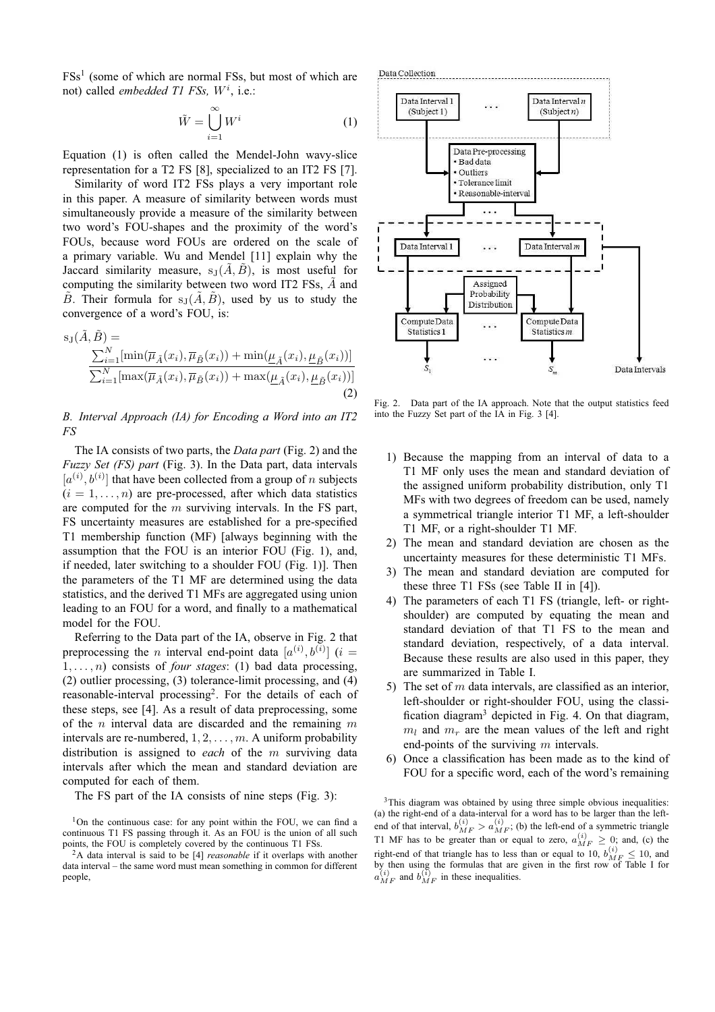$FSS<sup>1</sup>$  (some of which are normal FSs, but most of which are not) called *embedded T1 FSs,* W<sup>i</sup> , i.e.:

$$
\tilde{W} = \bigcup_{i=1}^{\infty} W^i \tag{1}
$$

Equation (1) is often called the Mendel-John wavy-slice representation for a T2 FS [8], specialized to an IT2 FS [7].

Similarity of word IT2 FSs plays a very important role in this paper. A measure of similarity between words must simultaneously provide a measure of the similarity between two word's FOU-shapes and the proximity of the word's FOUs, because word FOUs are ordered on the scale of a primary variable. Wu and Mendel [11] explain why the Jaccard similarity measure,  $s_J(\tilde{A}, \tilde{B})$ , is most useful for computing the similarity between two word IT2 FSs,  $\tilde{A}$  and  $\tilde{B}$ . Their formula for  $s_{\rm J}(\tilde{A}, \tilde{B})$ , used by us to study the convergence of a word's FOU, is:

$$
s_{J}(A, B) = \frac{\sum_{i=1}^{N} [\min(\overline{\mu}_{\tilde{A}}(x_i), \overline{\mu}_{\tilde{B}}(x_i)) + \min(\underline{\mu}_{\tilde{A}}(x_i), \underline{\mu}_{\tilde{B}}(x_i))]}{\sum_{i=1}^{N} [\max(\overline{\mu}_{\tilde{A}}(x_i), \overline{\mu}_{\tilde{B}}(x_i)) + \max(\underline{\mu}_{\tilde{A}}(x_i), \underline{\mu}_{\tilde{B}}(x_i))]} \tag{2}
$$

# *B. Interval Approach (IA) for Encoding a Word into an IT2 FS*

The IA consists of two parts, the *Data part* (Fig. 2) and the *Fuzzy Set (FS) part* (Fig. 3). In the Data part, data intervals  $[a^{(i)}, b^{(i)}]$  that have been collected from a group of n subjects  $(i = 1, \ldots, n)$  are pre-processed, after which data statistics are computed for the m surviving intervals. In the FS part, FS uncertainty measures are established for a pre-specified T1 membership function (MF) [always beginning with the assumption that the FOU is an interior FOU (Fig. 1), and, if needed, later switching to a shoulder FOU (Fig. 1)]. Then the parameters of the T1 MF are determined using the data statistics, and the derived T1 MFs are aggregated using union leading to an FOU for a word, and finally to a mathematical model for the FOU.

Referring to the Data part of the IA, observe in Fig. 2 that preprocessing the *n* interval end-point data  $[a^{(i)}, b^{(i)}]$  (*i* = 1 m) consists of *four* stages: (1) had data processing 1,...,n) consists of *four stages*: (1) bad data processing, (2) outlier processing, (3) tolerance-limit processing, and (4) reasonable-interval processing2. For the details of each of these steps, see [4]. As a result of data preprocessing, some of the  $n$  interval data are discarded and the remaining  $m$ intervals are re-numbered,  $1, 2, \ldots, m$ . A uniform probability distribution is assigned to *each* of the m surviving data intervals after which the mean and standard deviation are computed for each of them.

The FS part of the IA consists of nine steps (Fig. 3):



Fig. 2. Data part of the IA approach. Note that the output statistics feed into the Fuzzy Set part of the IA in Fig. 3 [4].

- 1) Because the mapping from an interval of data to a T1 MF only uses the mean and standard deviation of the assigned uniform probability distribution, only T1 MFs with two degrees of freedom can be used, namely a symmetrical triangle interior T1 MF, a left-shoulder T1 MF, or a right-shoulder T1 MF.
- 2) The mean and standard deviation are chosen as the uncertainty measures for these deterministic T1 MFs.
- 3) The mean and standard deviation are computed for these three T1 FSs (see Table II in [4]).
- 4) The parameters of each T1 FS (triangle, left- or rightshoulder) are computed by equating the mean and standard deviation of that T1 FS to the mean and standard deviation, respectively, of a data interval. Because these results are also used in this paper, they are summarized in Table I.
- 5) The set of  $m$  data intervals, are classified as an interior, left-shoulder or right-shoulder FOU, using the classification diagram<sup>3</sup> depicted in Fig. 4. On that diagram,  $m_l$  and  $m_r$  are the mean values of the left and right end-points of the surviving  $m$  intervals.
- 6) Once a classification has been made as to the kind of FOU for a specific word, each of the word's remaining

<sup>3</sup>This diagram was obtained by using three simple obvious inequalities: (a) the right-end of a data-interval for a word has to be larger than the leftend of that interval,  $b_{MF}^{(i)} > a_{MF}^{(i)}$ ; (b) the left-end of a symmetric triangle T1 MF has to be greater than or equal to zero,  $a_{MF}^{(i)} \ge 0$ ; and, (c) the right-end of that triangle has to less than or equal to 10,  $b_{MF}^{(i)} \leq 10$ , and<br>by then using the formulas that are given in the first row of Table I for  $a_{MF}^{(i)}$  and  $b_{MF}^{(i)}$  in these inequalities.

<sup>&</sup>lt;sup>1</sup>On the continuous case: for any point within the FOU, we can find a continuous T1 FS passing through it. As an FOU is the union of all such points, the FOU is completely covered by the continuous T1 FSs.

<sup>2</sup>A data interval is said to be [4] *reasonable* if it overlaps with another data interval – the same word must mean something in common for different people,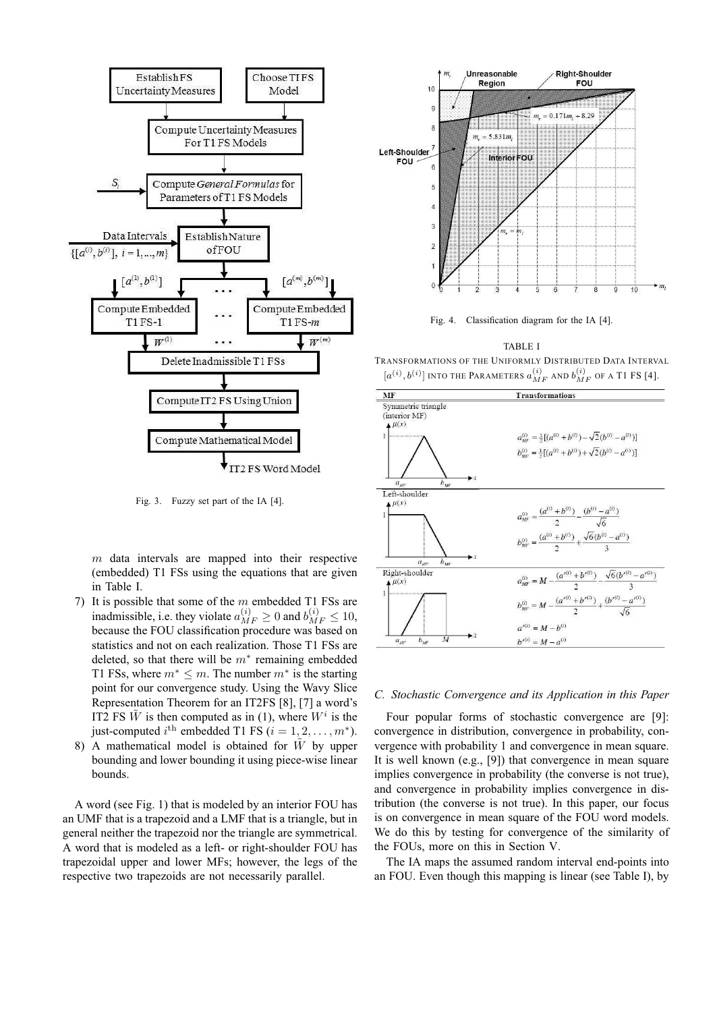

Fig. 3. Fuzzy set part of the IA [4].

 $m$  data intervals are mapped into their respective (embedded) T1 FSs using the equations that are given in Table I.

- 7) It is possible that some of the  $m$  embedded T1 FSs are inadmissible, i.e. they violate  $a_{MF}^{(i)} \ge 0$  and  $b_{MF}^{(i)} \le 10$ ,<br>because the FOU classification procedure was based on because the FOU classification procedure was based on statistics and not on each realization. Those T1 FSs are deleted, so that there will be  $m^*$  remaining embedded T1 FSs, where  $m^* \leq m$ . The number  $m^*$  is the starting point for our convergence study. Using the Wavy Slice Representation Theorem for an IT2FS [8], [7] a word's IT2 FS  $\tilde{W}$  is then computed as in (1), where  $W^i$  is the just-computed *i*<sup>th</sup> embedded T1 FS  $(i = 1, 2, ..., m^*)$ .<br>A mathematical model is obtained for  $\tilde{W}$  by unner
- 8) A mathematical model is obtained for  $\tilde{W}$  by upper bounding and lower bounding it using piece-wise linear bounds.

A word (see Fig. 1) that is modeled by an interior FOU has an UMF that is a trapezoid and a LMF that is a triangle, but in general neither the trapezoid nor the triangle are symmetrical. A word that is modeled as a left- or right-shoulder FOU has trapezoidal upper and lower MFs; however, the legs of the respective two trapezoids are not necessarily parallel.



Fig. 4. Classification diagram for the IA [4].

TABLE I

TRANSFORMATIONS OF THE UNIFORMLY DISTRIBUTED DATA INTERVAL  $[a^{(i)},b^{(i)}]$  into the Parameters  $a_{MF}^{(i)}$  and  $b_{MF}^{(i)}$  of a T1 FS [4].



## *C. Stochastic Convergence and its Application in this Paper*

Four popular forms of stochastic convergence are [9]: convergence in distribution, convergence in probability, convergence with probability 1 and convergence in mean square. It is well known (e.g., [9]) that convergence in mean square implies convergence in probability (the converse is not true), and convergence in probability implies convergence in distribution (the converse is not true). In this paper, our focus is on convergence in mean square of the FOU word models. We do this by testing for convergence of the similarity of the FOUs, more on this in Section V.

The IA maps the assumed random interval end-points into an FOU. Even though this mapping is linear (see Table I), by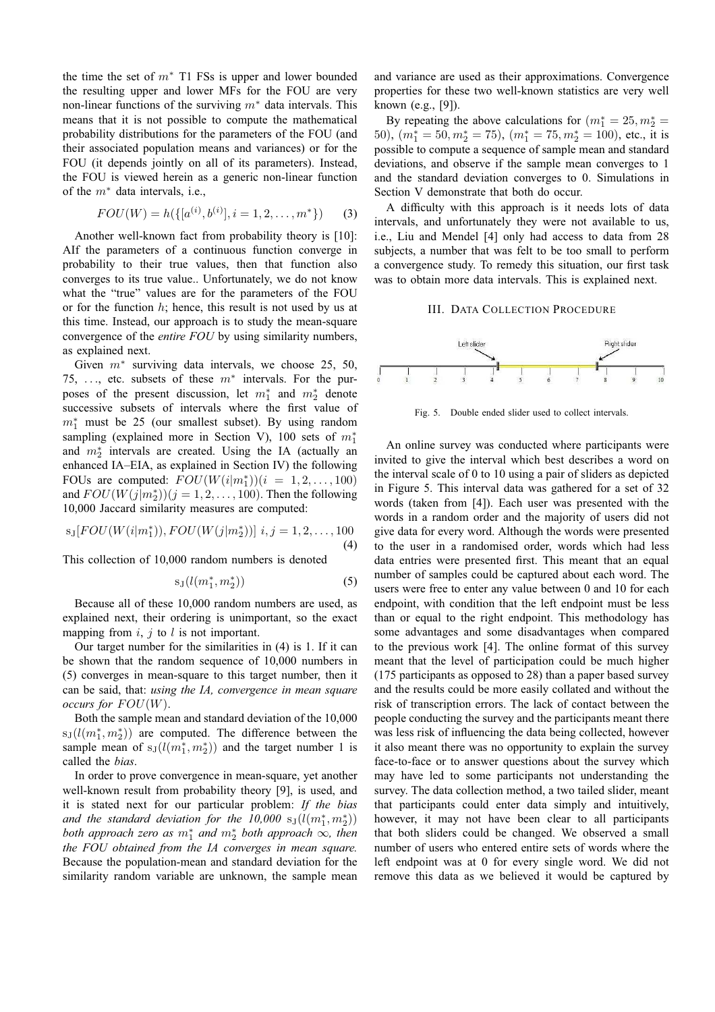the time the set of  $m^*$  T1 FSs is upper and lower bounded the resulting upper and lower MFs for the FOU are very non-linear functions of the surviving  $m^*$  data intervals. This means that it is not possible to compute the mathematical probability distributions for the parameters of the FOU (and their associated population means and variances) or for the FOU (it depends jointly on all of its parameters). Instead, the FOU is viewed herein as a generic non-linear function of the  $m^*$  data intervals, i.e.,

$$
FOU(W) = h(\{[a^{(i)}, b^{(i)}], i = 1, 2, \dots, m^*\})
$$
 (3)

Another well-known fact from probability theory is [10]: AIf the parameters of a continuous function converge in probability to their true values, then that function also converges to its true value.. Unfortunately, we do not know what the "true" values are for the parameters of the FOU or for the function  $h$ ; hence, this result is not used by us at this time. Instead, our approach is to study the mean-square convergence of the *entire FOU* by using similarity numbers, as explained next.

Given  $m^*$  surviving data intervals, we choose 25, 50, 75, ..., etc. subsets of these  $m^*$  intervals. For the purposes of the present discussion, let  $m_1^*$  and  $m_2^*$  denote successive subsets of intervals where the first value of  $m_1^*$  must be 25 (our smallest subset). By using random sampling (explained more in Section V), 100 sets of  $m_1^*$ and  $m_2^*$  intervals are created. Using the IA (actually an enhanced IA–EIA, as explained in Section IV) the following FOUs are computed:  $\hat{FOU}(W(i|m_1^*))(i=1,2,\ldots,100)$ <br>and  $\hat{FOU}(W(i|m_1^*))(i=1,2,\ldots,100)$ . Then the following and  $FOU(W(j|m_2^*))$  $(j = 1, 2, \ldots, 100)$ . Then the following 10,000 Jaccard similarity measures are computed: 10,000 Jaccard similarity measures are computed:

$$
s_J[FOU(W(i|m_1^*)), FOU(W(j|m_2^*))] \ i, j = 1, 2, \dots, 100
$$
\n(4)

This collection of 10,000 random numbers is denoted

$$
s_{J}(l(m_1^*, m_2^*))\tag{5}
$$

Because all of these 10,000 random numbers are used, as explained next, their ordering is unimportant, so the exact mapping from  $i, j$  to  $l$  is not important.

Our target number for the similarities in (4) is 1. If it can be shown that the random sequence of 10,000 numbers in (5) converges in mean-square to this target number, then it can be said, that: *using the IA, convergence in mean square occurs for* FOU(W).

Both the sample mean and standard deviation of the 10,000  $s_J(l(m_1^*, m_2^*))$  are computed. The difference between the sample mean of  $s_J(l(m_1^*, m_1^*))$  and the target number 1 is sample mean of  $s_J(l(m_1^*, m_2^*))$  and the target number 1 is<br>called the bias called the *bias*.

In order to prove convergence in mean-square, yet another well-known result from probability theory [9], is used, and it is stated next for our particular problem: *If the bias and the standard deviation for the 10,000* s<sub>J</sub>( $l(m_1^*, m_2^*)$ <br>both approach zero as  $m^*$  and  $m^*$  both approach  $\infty$ , the  $\phi$  *both approach zero as*  $m_1^*$  *and*  $m_2^*$  *both approach*  $\infty$ , *then both approach*  $\infty$ *, then the FOU obtained from the IA converges in mean square.* Because the population-mean and standard deviation for the similarity random variable are unknown, the sample mean

and variance are used as their approximations. Convergence properties for these two well-known statistics are very well known (e.g., [9]).

By repeating the above calculations for  $(m_1^* = 25, m_2^*)$ <br>  $(m_1^* = 50, m_1^* = 75, m_1^* = 75, m_1^* = 100)$  etc. By repeating the above calculations for  $(m_1 = 25, m_2 = 50)$ ,  $(m_1^* = 50, m_2^* = 75)$ ,  $(m_1^* = 75, m_2^* = 100)$ , etc., it is possible to compute a sequence of sample mean and standard deviations, and observe if the sample mean converges to 1 and the standard deviation converges to 0. Simulations in Section V demonstrate that both do occur.

A difficulty with this approach is it needs lots of data intervals, and unfortunately they were not available to us, i.e., Liu and Mendel [4] only had access to data from 28 subjects, a number that was felt to be too small to perform a convergence study. To remedy this situation, our first task was to obtain more data intervals. This is explained next.

## III. DATA COLLECTION PROCEDURE



Fig. 5. Double ended slider used to collect intervals.

An online survey was conducted where participants were invited to give the interval which best describes a word on the interval scale of 0 to 10 using a pair of sliders as depicted in Figure 5. This interval data was gathered for a set of 32 words (taken from [4]). Each user was presented with the words in a random order and the majority of users did not give data for every word. Although the words were presented to the user in a randomised order, words which had less data entries were presented first. This meant that an equal number of samples could be captured about each word. The users were free to enter any value between 0 and 10 for each endpoint, with condition that the left endpoint must be less than or equal to the right endpoint. This methodology has some advantages and some disadvantages when compared to the previous work [4]. The online format of this survey meant that the level of participation could be much higher (175 participants as opposed to 28) than a paper based survey and the results could be more easily collated and without the risk of transcription errors. The lack of contact between the people conducting the survey and the participants meant there was less risk of influencing the data being collected, however it also meant there was no opportunity to explain the survey face-to-face or to answer questions about the survey which may have led to some participants not understanding the survey. The data collection method, a two tailed slider, meant that participants could enter data simply and intuitively, however, it may not have been clear to all participants that both sliders could be changed. We observed a small number of users who entered entire sets of words where the left endpoint was at 0 for every single word. We did not remove this data as we believed it would be captured by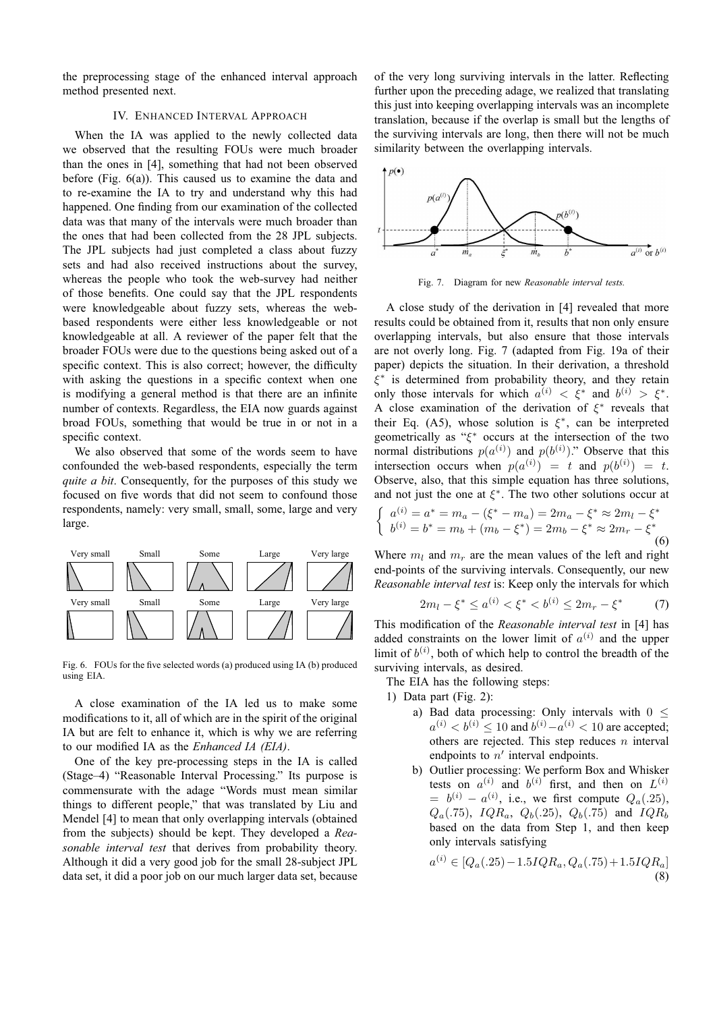the preprocessing stage of the enhanced interval approach method presented next.

# IV. ENHANCED INTERVAL APPROACH

When the IA was applied to the newly collected data we observed that the resulting FOUs were much broader than the ones in [4], something that had not been observed before (Fig. 6(a)). This caused us to examine the data and to re-examine the IA to try and understand why this had happened. One finding from our examination of the collected data was that many of the intervals were much broader than the ones that had been collected from the 28 JPL subjects. The JPL subjects had just completed a class about fuzzy sets and had also received instructions about the survey, whereas the people who took the web-survey had neither of those benefits. One could say that the JPL respondents were knowledgeable about fuzzy sets, whereas the webbased respondents were either less knowledgeable or not knowledgeable at all. A reviewer of the paper felt that the broader FOUs were due to the questions being asked out of a specific context. This is also correct; however, the difficulty with asking the questions in a specific context when one is modifying a general method is that there are an infinite number of contexts. Regardless, the EIA now guards against broad FOUs, something that would be true in or not in a specific context.

We also observed that some of the words seem to have confounded the web-based respondents, especially the term *quite a bit*. Consequently, for the purposes of this study we focused on five words that did not seem to confound those respondents, namely: very small, small, some, large and very large.



Fig. 6. FOUs for the five selected words (a) produced using IA (b) produced using EIA.

A close examination of the IA led us to make some modifications to it, all of which are in the spirit of the original IA but are felt to enhance it, which is why we are referring to our modified IA as the *Enhanced IA (EIA)*.

One of the key pre-processing steps in the IA is called (Stage–4) "Reasonable Interval Processing." Its purpose is commensurate with the adage "Words must mean similar things to different people," that was translated by Liu and Mendel [4] to mean that only overlapping intervals (obtained from the subjects) should be kept. They developed a *Reasonable interval test* that derives from probability theory. Although it did a very good job for the small 28-subject JPL data set, it did a poor job on our much larger data set, because of the very long surviving intervals in the latter. Reflecting further upon the preceding adage, we realized that translating this just into keeping overlapping intervals was an incomplete translation, because if the overlap is small but the lengths of the surviving intervals are long, then there will not be much similarity between the overlapping intervals.



Fig. 7. Diagram for new *Reasonable interval tests.*

A close study of the derivation in [4] revealed that more results could be obtained from it, results that non only ensure overlapping intervals, but also ensure that those intervals are not overly long. Fig. 7 (adapted from Fig. 19a of their paper) depicts the situation. In their derivation, a threshold  $\xi^*$  is determined from probability theory, and they retain only those intervals for which  $a^{(i)} < \xi^*$  and  $b^{(i)} > \xi^*$ . A close examination of the derivation of  $\xi^*$  reveals that their Eq. (A5), whose solution is  $\xi^*$ , can be interpreted geometrically as "ξ<sup>∗</sup> occurs at the intersection of the two normal distributions  $p(a^{(i)})$  and  $p(b^{(i)})$ . Observe that this intersection occurs when  $p(a^{(i)}) = t$  and  $p(b^{(i)}) = t$ intersection occurs when  $p(a^{(i)}) = t$  and  $p(b^{(i)}) = t$ . Observe, also, that this simple equation has three solutions, and not just the one at  $\xi^*$ . The two other solutions occur at

$$
\begin{cases}\na^{(i)} = a^* = m_a - (\xi^* - m_a) = 2m_a - \xi^* \approx 2m_l - \xi^* \\
b^{(i)} = b^* = m_b + (m_b - \xi^*) = 2m_b - \xi^* \approx 2m_r - \xi^* \\
6\n\end{cases}
$$

Where  $m_l$  and  $m_r$  are the mean values of the left and right end-points of the surviving intervals. Consequently, our new *Reasonable interval test* is: Keep only the intervals for which

$$
2m_l - \xi^* \le a^{(i)} < \xi^* < b^{(i)} \le 2m_r - \xi^* \tag{7}
$$

This modification of the *Reasonable interval test* in [4] has added constraints on the lower limit of  $a^{(i)}$  and the upper limit of  $b^{(i)}$ , both of which help to control the breadth of the surviving intervals, as desired.

The EIA has the following steps:

- 1) Data part (Fig. 2):
	- a) Bad data processing: Only intervals with  $0 \le$  $a^{(i)} < b^{(i)} \le 10$  and  $b^{(i)} - a^{(i)} < 10$  are accepted; others are rejected. This step reduces  $n$  interval endpoints to  $n'$  interval endpoints.
	- b) Outlier processing: We perform Box and Whisker tests on  $a^{(i)}$  and  $b^{(i)}$  first, and then on  $L^{(i)}$  $= b^{(i)} - a^{(i)}$ , i.e., we first compute  $Q_a(.25)$ ,<br> $Q_{(75)}$ ,  $IQR_{(75)}$ ,  $Q_{(75)}$ ,  $Q_{(75)}$ , and  $IQR_{(75)}$  $Q_a(.75)$ ,  $IQR_a$ ,  $Q_b(.25)$ ,  $Q_b(.75)$  and  $IQR_b$ based on the data from Step 1, and then keep only intervals satisfying

$$
a^{(i)} \in [Q_a(.25) - 1.5IQR_a, Q_a(.75) + 1.5IQR_a]
$$
\n(8)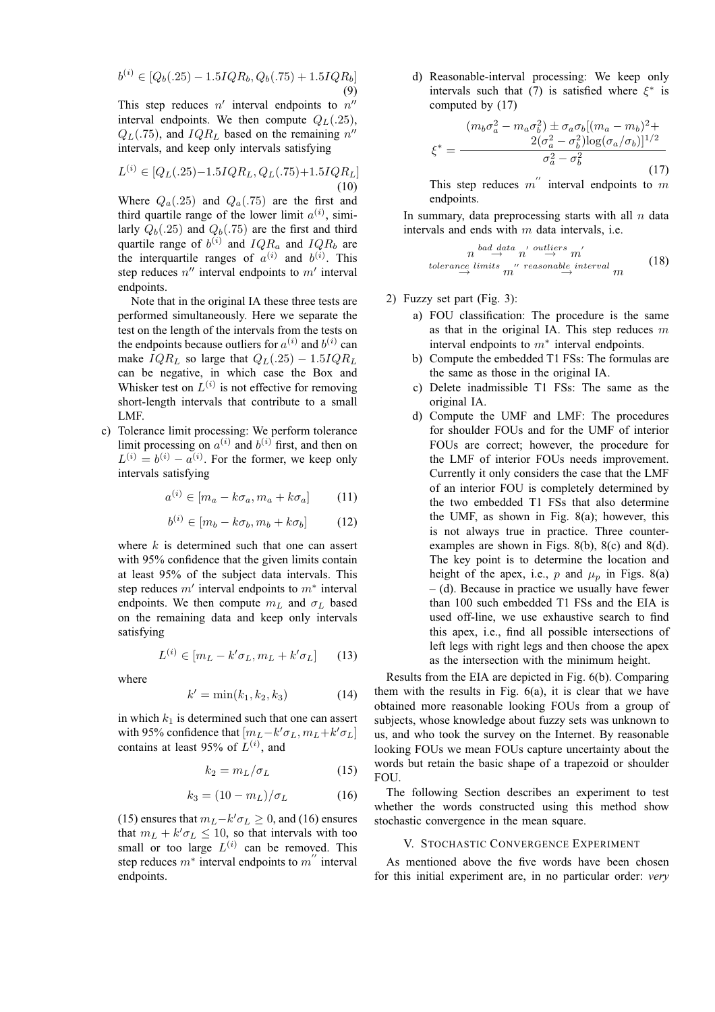$$
b^{(i)} \in [Q_b(.25) - 1.5IQR_b, Q_b(.75) + 1.5IQR_b]
$$
\n(9)

This step reduces  $n'$  interval endpoints to  $n''$ interval endpoints. We then compute  $Q_L(.25)$ ,  $Q_L(.75)$ , and  $IQR_L$  based on the remaining  $n''$ intervals, and keep only intervals satisfying

$$
L^{(i)} \in [Q_L(.25) - 1.5IQR_L, Q_L(.75) + 1.5IQR_L]
$$
\n(10)

Where  $Q_a(.25)$  and  $Q_a(.75)$  are the first and third quartile range of the lower limit  $a^{(i)}$ , similarly  $Q_b(.25)$  and  $Q_b(.75)$  are the first and third quartile range of  $b^{(i)}$  and  $IQR_a$  and  $IQR_b$  are the interquartile ranges of  $a^{(i)}$  and  $b^{(i)}$ . This step reduces  $n''$  interval endpoints to  $m'$  interval endpoints.

Note that in the original IA these three tests are performed simultaneously. Here we separate the test on the length of the intervals from the tests on the endpoints because outliers for  $a^{(i)}$  and  $b^{(i)}$  can make  $IQR_L$  so large that  $Q_L(.25) - 1.5IQR_L$ can be negative, in which case the Box and Whisker test on  $L^{(i)}$  is not effective for removing short-length intervals that contribute to a small LMF.

c) Tolerance limit processing: We perform tolerance limit processing on  $a^{(i)}$  and  $b^{(i)}$  first, and then on  $L^{(i)} = b^{(i)} - a^{(i)}$ . For the former, we keep only intervals satisfying

$$
a^{(i)} \in [m_a - k\sigma_a, m_a + k\sigma_a]
$$
 (11)

$$
b^{(i)} \in [m_b - k\sigma_b, m_b + k\sigma_b]
$$
 (12)

where  $k$  is determined such that one can assert with 95% confidence that the given limits contain at least 95% of the subject data intervals. This step reduces  $m'$  interval endpoints to  $m^*$  interval endpoints. We then compute  $m<sub>L</sub>$  and  $\sigma<sub>L</sub>$  based on the remaining data and keep only intervals satisfying

$$
L^{(i)} \in [m_L - k'\sigma_L, m_L + k'\sigma_L]
$$
 (13)

where

$$
k' = \min(k_1, k_2, k_3)
$$
 (14)

in which  $k_1$  is determined such that one can assert with 95% confidence that  $[m_L - k' \sigma_L, m_L + k' \sigma_L]$ <br>contains at least 95% of  $L^{(i)}$  and contains at least 95% of  $L^{(i)}$ , and

$$
k_2 = m_L / \sigma_L \tag{15}
$$

$$
k_3 = (10 - m_L) / \sigma_L \tag{16}
$$

(15) ensures that  $m_L - k' \sigma_L \ge 0$ , and (16) ensures<br>that  $m_L + k' \sigma_L \le 10$ , so that intervals with too that  $m_L + k' \sigma_L \leq 10$ , so that intervals with too small or too large  $I^{(i)}$  can be removed. This small or too large  $L^{(i)}$  can be removed. This step reduces  $m^*$  interval endpoints to  $m^{''}$  interval endpoints.

d) Reasonable-interval processing: We keep only intervals such that (7) is satisfied where  $\xi^*$  is computed by (17)

$$
\xi^* = \frac{(m_b \sigma_a^2 - m_a \sigma_b^2) \pm \sigma_a \sigma_b [(m_a - m_b)^2 + 2(\sigma_a^2 - \sigma_b^2) \log(\sigma_a/\sigma_b)]^{1/2}}{\sigma_a^2 - \sigma_b^2}
$$
\n(17)

This step reduces  $m^{''}$  interval endpoints to  $m^{''}$ endpoints.

In summary, data preprocessing starts with all  $n$  data intervals and ends with  $m$  data intervals, i.e.

$$
n \stackrel{bad\ data\ \textit{data} \ \textit{n'} \ \textit{outliers} \ \textit{m'}}{n \stackrel{otherance}{\longrightarrow} \ \textit{limits} \ \textit{m''} \ \textit{reasonable} \ \textit{interval} \ \textit{m}} \tag{18}
$$

## 2) Fuzzy set part (Fig. 3):

- a) FOU classification: The procedure is the same as that in the original IA. This step reduces  $m$ interval endpoints to  $m^*$  interval endpoints.
- b) Compute the embedded T1 FSs: The formulas are the same as those in the original IA.
- c) Delete inadmissible T1 FSs: The same as the original IA.
- d) Compute the UMF and LMF: The procedures for shoulder FOUs and for the UMF of interior FOUs are correct; however, the procedure for the LMF of interior FOUs needs improvement. Currently it only considers the case that the LMF of an interior FOU is completely determined by the two embedded T1 FSs that also determine the UMF, as shown in Fig. 8(a); however, this is not always true in practice. Three counterexamples are shown in Figs. 8(b), 8(c) and 8(d). The key point is to determine the location and height of the apex, i.e., p and  $\mu_p$  in Figs. 8(a) – (d). Because in practice we usually have fewer than 100 such embedded T1 FSs and the EIA is used off-line, we use exhaustive search to find this apex, i.e., find all possible intersections of left legs with right legs and then choose the apex as the intersection with the minimum height.

Results from the EIA are depicted in Fig. 6(b). Comparing them with the results in Fig. 6(a), it is clear that we have obtained more reasonable looking FOUs from a group of subjects, whose knowledge about fuzzy sets was unknown to us, and who took the survey on the Internet. By reasonable looking FOUs we mean FOUs capture uncertainty about the words but retain the basic shape of a trapezoid or shoulder FOU.

The following Section describes an experiment to test whether the words constructed using this method show stochastic convergence in the mean square.

#### V. STOCHASTIC CONVERGENCE EXPERIMENT

As mentioned above the five words have been chosen for this initial experiment are, in no particular order: *very*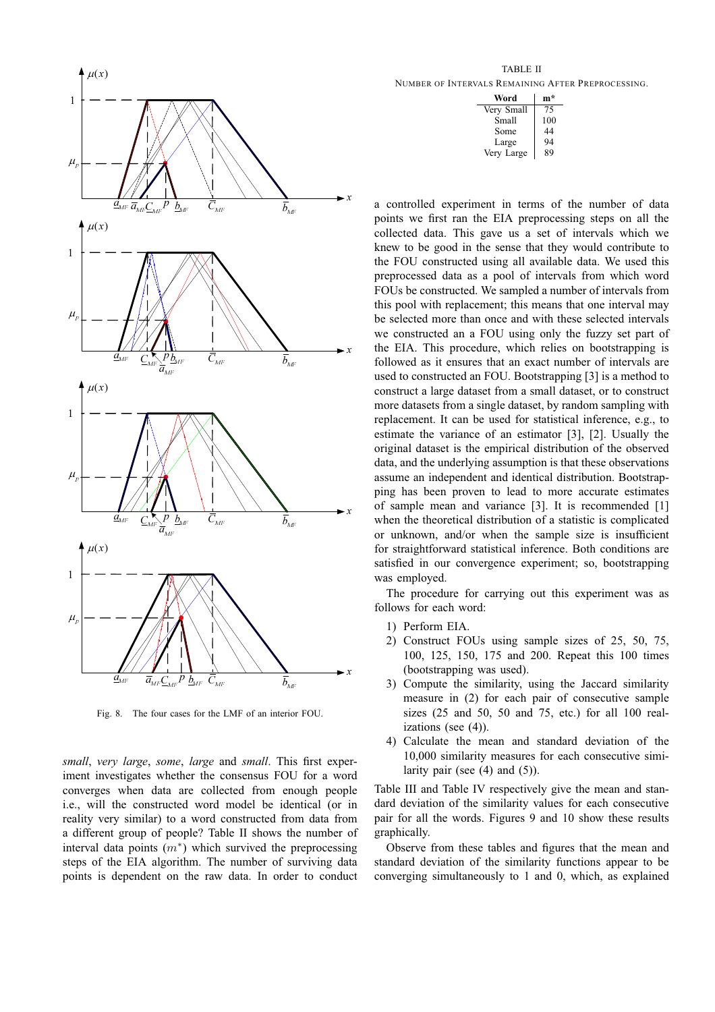

Fig. 8. The four cases for the LMF of an interior FOU.

*small*, *very large*, *some*, *large* and *small*. This first experiment investigates whether the consensus FOU for a word converges when data are collected from enough people i.e., will the constructed word model be identical (or in reality very similar) to a word constructed from data from a different group of people? Table II shows the number of interval data points  $(m<sup>*</sup>)$  which survived the preprocessing steps of the EIA algorithm. The number of surviving data points is dependent on the raw data. In order to conduct

TABLE II NUMBER OF INTERVALS REMAINING AFTER PREPROCESSING.

| Word       | m*  |  |  |
|------------|-----|--|--|
| Very Small | 75  |  |  |
| Small      | 100 |  |  |
| Some       | 44  |  |  |
| Large      | 94  |  |  |
| Very Large | 89  |  |  |

a controlled experiment in terms of the number of data points we first ran the EIA preprocessing steps on all the collected data. This gave us a set of intervals which we knew to be good in the sense that they would contribute to the FOU constructed using all available data. We used this preprocessed data as a pool of intervals from which word FOUs be constructed. We sampled a number of intervals from this pool with replacement; this means that one interval may be selected more than once and with these selected intervals we constructed an a FOU using only the fuzzy set part of the EIA. This procedure, which relies on bootstrapping is followed as it ensures that an exact number of intervals are used to constructed an FOU. Bootstrapping [3] is a method to construct a large dataset from a small dataset, or to construct more datasets from a single dataset, by random sampling with replacement. It can be used for statistical inference, e.g., to estimate the variance of an estimator [3], [2]. Usually the original dataset is the empirical distribution of the observed data, and the underlying assumption is that these observations assume an independent and identical distribution. Bootstrapping has been proven to lead to more accurate estimates of sample mean and variance [3]. It is recommended [1] when the theoretical distribution of a statistic is complicated or unknown, and/or when the sample size is insufficient for straightforward statistical inference. Both conditions are satisfied in our convergence experiment; so, bootstrapping was employed.

The procedure for carrying out this experiment was as follows for each word:

- 1) Perform EIA.
- 2) Construct FOUs using sample sizes of 25, 50, 75, 100, 125, 150, 175 and 200. Repeat this 100 times (bootstrapping was used).
- 3) Compute the similarity, using the Jaccard similarity measure in (2) for each pair of consecutive sample sizes (25 and 50, 50 and 75, etc.) for all 100 realizations (see (4)).
- 4) Calculate the mean and standard deviation of the 10,000 similarity measures for each consecutive similarity pair (see (4) and (5)).

Table III and Table IV respectively give the mean and standard deviation of the similarity values for each consecutive pair for all the words. Figures 9 and 10 show these results graphically.

Observe from these tables and figures that the mean and standard deviation of the similarity functions appear to be converging simultaneously to 1 and 0, which, as explained